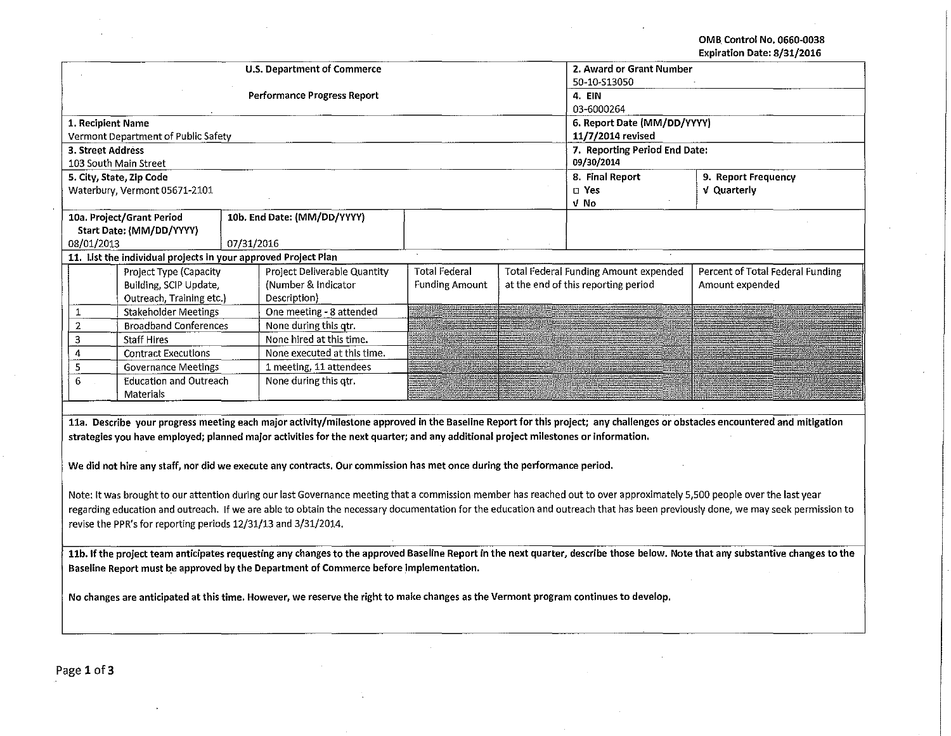OMB. Control No. 0660-0038 Expiration Date: 8/31/2016

|                                                                                                                                                                                 |                                                                |            | <b>U.S. Department of Commerce</b>                | 2. Award or Grant Number<br>50-10-S13050 |                     |                                              |                                                                                                                                                                            |  |  |
|---------------------------------------------------------------------------------------------------------------------------------------------------------------------------------|----------------------------------------------------------------|------------|---------------------------------------------------|------------------------------------------|---------------------|----------------------------------------------|----------------------------------------------------------------------------------------------------------------------------------------------------------------------------|--|--|
|                                                                                                                                                                                 |                                                                |            | <b>Performance Progress Report</b>                | 4. EIN<br>03-6000264                     |                     |                                              |                                                                                                                                                                            |  |  |
| 1. Recipient Name                                                                                                                                                               |                                                                |            |                                                   |                                          |                     | 6. Report Date (MM/DD/YYYY)                  |                                                                                                                                                                            |  |  |
|                                                                                                                                                                                 | Vermont Department of Public Safety                            |            |                                                   |                                          |                     | 11/7/2014 revised                            |                                                                                                                                                                            |  |  |
| 3. Street Address                                                                                                                                                               |                                                                |            |                                                   |                                          |                     | 7. Reporting Period End Date:                |                                                                                                                                                                            |  |  |
| 103 South Main Street                                                                                                                                                           |                                                                |            |                                                   | 09/30/2014                               |                     |                                              |                                                                                                                                                                            |  |  |
|                                                                                                                                                                                 | 5. City, State, Zip Code                                       |            |                                                   | 8. Final Report                          | 9. Report Frequency |                                              |                                                                                                                                                                            |  |  |
|                                                                                                                                                                                 | Waterbury, Vermont 05671-2101                                  |            |                                                   |                                          |                     | D Yes                                        | V Quarterly                                                                                                                                                                |  |  |
|                                                                                                                                                                                 |                                                                |            |                                                   |                                          |                     | V No                                         |                                                                                                                                                                            |  |  |
|                                                                                                                                                                                 | 10a. Project/Grant Period                                      |            | 10b. End Date: (MM/DD/YYYY)                       |                                          |                     |                                              |                                                                                                                                                                            |  |  |
|                                                                                                                                                                                 | Start Date: (MM/DD/YYYY)                                       |            |                                                   |                                          |                     |                                              |                                                                                                                                                                            |  |  |
| 08/01/2013                                                                                                                                                                      |                                                                | 07/31/2016 |                                                   |                                          |                     |                                              |                                                                                                                                                                            |  |  |
|                                                                                                                                                                                 | 11. List the individual projects in your approved Project Plan |            |                                                   |                                          |                     |                                              |                                                                                                                                                                            |  |  |
|                                                                                                                                                                                 | Project Type (Capacity                                         |            | Project Deliverable Quantity                      | <b>Total Federal</b>                     |                     | <b>Total Federal Funding Amount expended</b> | Percent of Total Federal Funding                                                                                                                                           |  |  |
|                                                                                                                                                                                 | Building, SCIP Update,                                         |            | (Number & Indicator                               | <b>Funding Amount</b>                    |                     | at the end of this reporting period          | Amount expended                                                                                                                                                            |  |  |
|                                                                                                                                                                                 | Outreach, Training etc.)                                       |            | Description)                                      |                                          |                     |                                              |                                                                                                                                                                            |  |  |
| $\mathbf{1}$                                                                                                                                                                    | <b>Stakeholder Meetings</b>                                    |            | One meeting - 8 attended                          |                                          |                     |                                              |                                                                                                                                                                            |  |  |
| $\overline{2}$<br>3                                                                                                                                                             | <b>Broadband Conferences</b><br><b>Staff Hires</b>             |            | None during this qtr.<br>None hired at this time. |                                          |                     |                                              |                                                                                                                                                                            |  |  |
| 4                                                                                                                                                                               | <b>Contract Executions</b>                                     |            | None executed at this time.                       |                                          |                     |                                              |                                                                                                                                                                            |  |  |
| 5                                                                                                                                                                               | <b>Governance Meetings</b>                                     |            | 1 meeting, 11 attendees                           |                                          |                     |                                              |                                                                                                                                                                            |  |  |
| 6                                                                                                                                                                               | <b>Education and Outreach</b>                                  |            | None during this qtr.                             |                                          |                     |                                              |                                                                                                                                                                            |  |  |
|                                                                                                                                                                                 |                                                                |            |                                                   |                                          |                     |                                              |                                                                                                                                                                            |  |  |
| Materials                                                                                                                                                                       |                                                                |            |                                                   |                                          |                     |                                              |                                                                                                                                                                            |  |  |
|                                                                                                                                                                                 |                                                                |            |                                                   |                                          |                     |                                              | 11a. Describe your progress meeting each major activity/milestone approved in the Baseline Report for this project; any challenges or obstacles encountered and mitigation |  |  |
|                                                                                                                                                                                 |                                                                |            |                                                   |                                          |                     |                                              |                                                                                                                                                                            |  |  |
| strategies you have employed; planned major activities for the next quarter; and any additional project milestones or information.                                              |                                                                |            |                                                   |                                          |                     |                                              |                                                                                                                                                                            |  |  |
| We did not hire any staff, nor did we execute any contracts. Our commission has met once during the performance period.                                                         |                                                                |            |                                                   |                                          |                     |                                              |                                                                                                                                                                            |  |  |
| Note: It was brought to our attention during our last Governance meeting that a commission member has reached out to over approximately 5,500 people over the last year         |                                                                |            |                                                   |                                          |                     |                                              |                                                                                                                                                                            |  |  |
|                                                                                                                                                                                 |                                                                |            |                                                   |                                          |                     |                                              |                                                                                                                                                                            |  |  |
| regarding education and outreach. If we are able to obtain the necessary documentation for the education and outreach that has been previously done, we may seek permission to  |                                                                |            |                                                   |                                          |                     |                                              |                                                                                                                                                                            |  |  |
| revise the PPR's for reporting periods 12/31/13 and 3/31/2014.                                                                                                                  |                                                                |            |                                                   |                                          |                     |                                              |                                                                                                                                                                            |  |  |
| 11b. If the project team anticipates requesting any changes to the approved Baseline Report in the next quarter, describe those below. Note that any substantive changes to the |                                                                |            |                                                   |                                          |                     |                                              |                                                                                                                                                                            |  |  |
|                                                                                                                                                                                 |                                                                |            |                                                   |                                          |                     |                                              |                                                                                                                                                                            |  |  |
| Baseline Report must be approved by the Department of Commerce before implementation.                                                                                           |                                                                |            |                                                   |                                          |                     |                                              |                                                                                                                                                                            |  |  |
|                                                                                                                                                                                 |                                                                |            |                                                   |                                          |                     |                                              |                                                                                                                                                                            |  |  |
| No changes are anticipated at this time. However, we reserve the right to make changes as the Vermont program continues to develop.                                             |                                                                |            |                                                   |                                          |                     |                                              |                                                                                                                                                                            |  |  |
|                                                                                                                                                                                 |                                                                |            |                                                   |                                          |                     |                                              |                                                                                                                                                                            |  |  |
|                                                                                                                                                                                 |                                                                |            |                                                   |                                          |                     |                                              |                                                                                                                                                                            |  |  |
|                                                                                                                                                                                 |                                                                |            |                                                   |                                          |                     |                                              |                                                                                                                                                                            |  |  |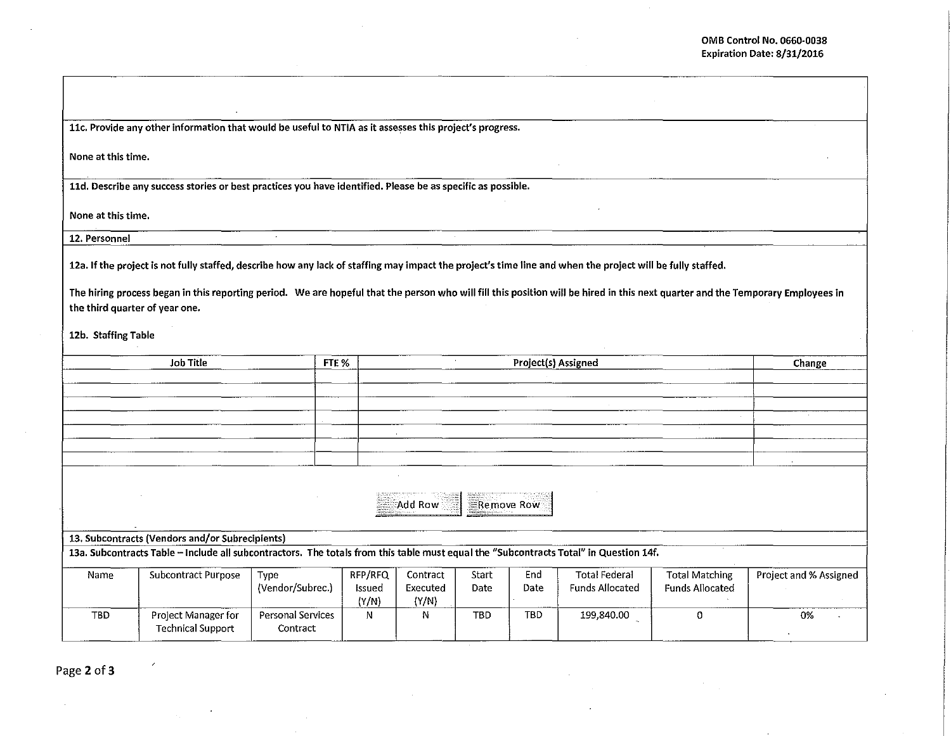llc. Provide any other information that would be useful to NTIA as it assesses this project's progress.

None at this time.

11d. Describe any success stories or best practices you have identified. Please be as specific as possible.

None at this time.

12. Personnel

12a. If the project is not fully staffed, describe how any lack of staffing may impact the project's time line and when the project will be fully staffed.

The hiring process began in this reporting period. We are hopeful that the person who will fill this position will be hired in this next quarter and the Temporary Employees in the third quarter of year one.

12b. Staffing Table

|                                                                                                                                       | <b>Job Title</b>                                | FTE %             | Project(s) Assigned |                |            |            |                      |                        |                        |
|---------------------------------------------------------------------------------------------------------------------------------------|-------------------------------------------------|-------------------|---------------------|----------------|------------|------------|----------------------|------------------------|------------------------|
|                                                                                                                                       |                                                 |                   |                     |                |            |            |                      |                        |                        |
|                                                                                                                                       |                                                 |                   |                     |                |            |            |                      |                        |                        |
|                                                                                                                                       |                                                 |                   |                     |                |            |            |                      |                        |                        |
|                                                                                                                                       |                                                 |                   |                     |                |            |            |                      |                        |                        |
|                                                                                                                                       |                                                 |                   |                     |                |            |            |                      | $\sim$                 |                        |
|                                                                                                                                       |                                                 |                   |                     |                |            |            |                      |                        |                        |
|                                                                                                                                       |                                                 |                   |                     |                |            |            |                      |                        |                        |
|                                                                                                                                       |                                                 |                   |                     |                |            |            |                      |                        |                        |
|                                                                                                                                       |                                                 |                   |                     |                |            |            |                      |                        |                        |
|                                                                                                                                       |                                                 |                   |                     | <b>Add Row</b> |            | Remove Row |                      |                        |                        |
|                                                                                                                                       |                                                 |                   |                     |                |            |            |                      |                        |                        |
|                                                                                                                                       |                                                 |                   |                     |                |            |            |                      |                        |                        |
|                                                                                                                                       | 13. Subcontracts (Vendors and/or Subrecipients) |                   |                     |                |            |            |                      |                        |                        |
| 13a. Subcontracts Table - Include all subcontractors. The totals from this table must equal the "Subcontracts Total" in Question 14f. |                                                 |                   |                     |                |            |            |                      |                        |                        |
| Name                                                                                                                                  | Subcontract Purpose                             | Type              | RFP/RFQ             | Contract       | Start      | End        | <b>Total Federal</b> | <b>Total Matching</b>  | Project and % Assigned |
|                                                                                                                                       |                                                 | (Vendor/Subrec.)  | <b>Issued</b>       | Executed       | Date       | Date       | Funds Allocated      | <b>Funds Allocated</b> |                        |
|                                                                                                                                       |                                                 |                   | (Y/N)               | (Y/N)          |            |            |                      |                        |                        |
| TBD                                                                                                                                   | Project Manager for                             | Personal Services | N                   | N              | <b>TBD</b> | TBD        | 199,840.00           | $\Omega$               | 0%                     |
|                                                                                                                                       | <b>Technical Support</b>                        | Contract          |                     |                |            |            |                      |                        |                        |
|                                                                                                                                       |                                                 |                   |                     |                |            |            |                      |                        |                        |

Page 2 of 3